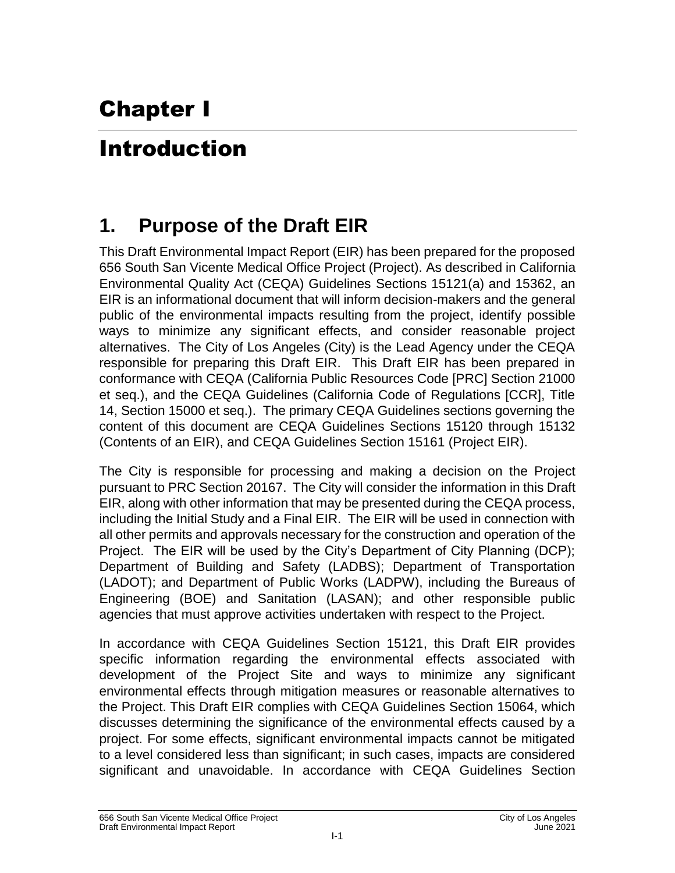# Chapter I

## Introduction

### **1. Purpose of the Draft EIR**

This Draft Environmental Impact Report (EIR) has been prepared for the proposed 656 South San Vicente Medical Office Project (Project). As described in California Environmental Quality Act (CEQA) Guidelines Sections 15121(a) and 15362, an EIR is an informational document that will inform decision-makers and the general public of the environmental impacts resulting from the project, identify possible ways to minimize any significant effects, and consider reasonable project alternatives. The City of Los Angeles (City) is the Lead Agency under the CEQA responsible for preparing this Draft EIR. This Draft EIR has been prepared in conformance with CEQA (California Public Resources Code [PRC] Section 21000 et seq.), and the CEQA Guidelines (California Code of Regulations [CCR], Title 14, Section 15000 et seq.). The primary CEQA Guidelines sections governing the content of this document are CEQA Guidelines Sections 15120 through 15132 (Contents of an EIR), and CEQA Guidelines Section 15161 (Project EIR).

The City is responsible for processing and making a decision on the Project pursuant to PRC Section 20167. The City will consider the information in this Draft EIR, along with other information that may be presented during the CEQA process, including the Initial Study and a Final EIR. The EIR will be used in connection with all other permits and approvals necessary for the construction and operation of the Project. The EIR will be used by the City's Department of City Planning (DCP); Department of Building and Safety (LADBS); Department of Transportation (LADOT); and Department of Public Works (LADPW), including the Bureaus of Engineering (BOE) and Sanitation (LASAN); and other responsible public agencies that must approve activities undertaken with respect to the Project.

In accordance with CEQA Guidelines Section 15121, this Draft EIR provides specific information regarding the environmental effects associated with development of the Project Site and ways to minimize any significant environmental effects through mitigation measures or reasonable alternatives to the Project. This Draft EIR complies with CEQA Guidelines Section 15064, which discusses determining the significance of the environmental effects caused by a project. For some effects, significant environmental impacts cannot be mitigated to a level considered less than significant; in such cases, impacts are considered significant and unavoidable. In accordance with CEQA Guidelines Section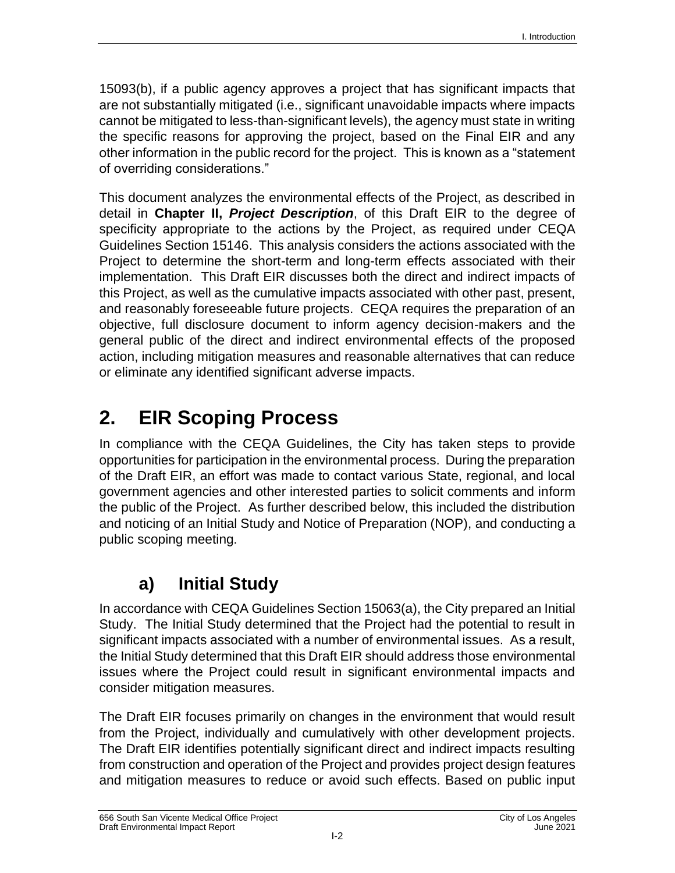15093(b), if a public agency approves a project that has significant impacts that are not substantially mitigated (i.e., significant unavoidable impacts where impacts cannot be mitigated to less-than-significant levels), the agency must state in writing the specific reasons for approving the project, based on the Final EIR and any other information in the public record for the project. This is known as a "statement of overriding considerations."

This document analyzes the environmental effects of the Project, as described in detail in **Chapter II,** *Project Description*, of this Draft EIR to the degree of specificity appropriate to the actions by the Project, as required under CEQA Guidelines Section 15146. This analysis considers the actions associated with the Project to determine the short-term and long-term effects associated with their implementation. This Draft EIR discusses both the direct and indirect impacts of this Project, as well as the cumulative impacts associated with other past, present, and reasonably foreseeable future projects. CEQA requires the preparation of an objective, full disclosure document to inform agency decision-makers and the general public of the direct and indirect environmental effects of the proposed action, including mitigation measures and reasonable alternatives that can reduce or eliminate any identified significant adverse impacts.

## **2. EIR Scoping Process**

In compliance with the CEQA Guidelines, the City has taken steps to provide opportunities for participation in the environmental process. During the preparation of the Draft EIR, an effort was made to contact various State, regional, and local government agencies and other interested parties to solicit comments and inform the public of the Project. As further described below, this included the distribution and noticing of an Initial Study and Notice of Preparation (NOP), and conducting a public scoping meeting.

#### **a) Initial Study**

In accordance with CEQA Guidelines Section 15063(a), the City prepared an Initial Study. The Initial Study determined that the Project had the potential to result in significant impacts associated with a number of environmental issues. As a result, the Initial Study determined that this Draft EIR should address those environmental issues where the Project could result in significant environmental impacts and consider mitigation measures.

The Draft EIR focuses primarily on changes in the environment that would result from the Project, individually and cumulatively with other development projects. The Draft EIR identifies potentially significant direct and indirect impacts resulting from construction and operation of the Project and provides project design features and mitigation measures to reduce or avoid such effects. Based on public input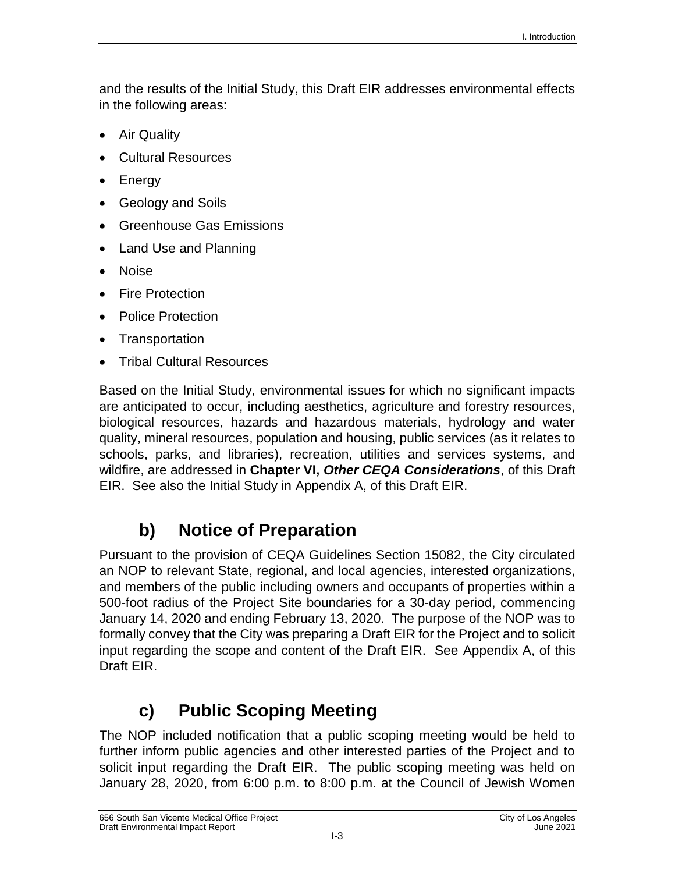and the results of the Initial Study, this Draft EIR addresses environmental effects in the following areas:

- Air Quality
- Cultural Resources
- Energy
- Geology and Soils
- Greenhouse Gas Emissions
- Land Use and Planning
- Noise
- Fire Protection
- Police Protection
- Transportation
- Tribal Cultural Resources

Based on the Initial Study, environmental issues for which no significant impacts are anticipated to occur, including aesthetics, agriculture and forestry resources, biological resources, hazards and hazardous materials, hydrology and water quality, mineral resources, population and housing, public services (as it relates to schools, parks, and libraries), recreation, utilities and services systems, and wildfire, are addressed in **Chapter VI,** *Other CEQA Considerations*, of this Draft EIR. See also the Initial Study in Appendix A, of this Draft EIR.

#### **b) Notice of Preparation**

Pursuant to the provision of CEQA Guidelines Section 15082, the City circulated an NOP to relevant State, regional, and local agencies, interested organizations, and members of the public including owners and occupants of properties within a 500-foot radius of the Project Site boundaries for a 30-day period, commencing January 14, 2020 and ending February 13, 2020. The purpose of the NOP was to formally convey that the City was preparing a Draft EIR for the Project and to solicit input regarding the scope and content of the Draft EIR. See Appendix A, of this Draft EIR.

#### **c) Public Scoping Meeting**

The NOP included notification that a public scoping meeting would be held to further inform public agencies and other interested parties of the Project and to solicit input regarding the Draft EIR. The public scoping meeting was held on January 28, 2020, from 6:00 p.m. to 8:00 p.m. at the Council of Jewish Women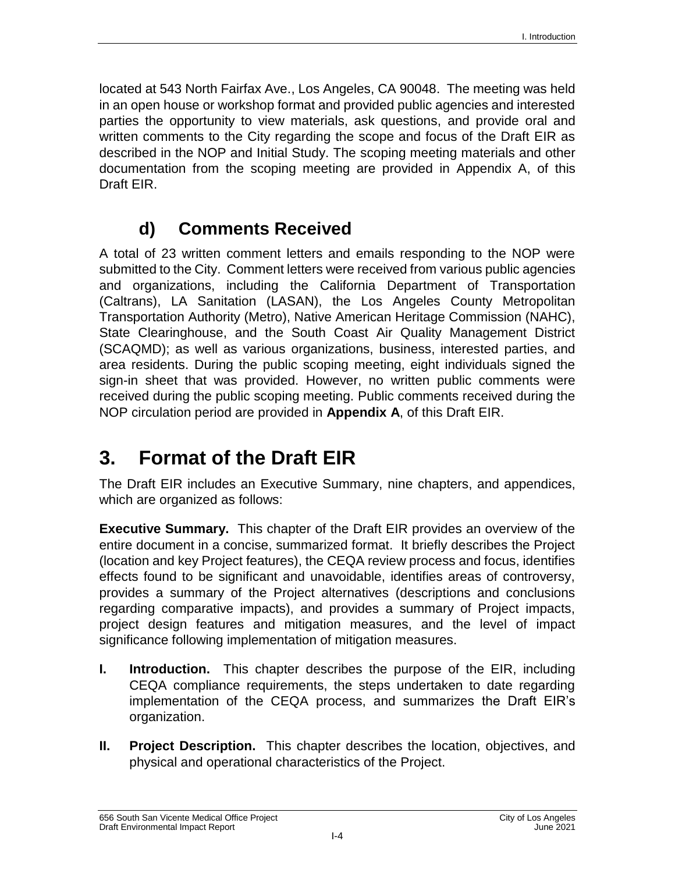located at 543 North Fairfax Ave., Los Angeles, CA 90048. The meeting was held in an open house or workshop format and provided public agencies and interested parties the opportunity to view materials, ask questions, and provide oral and written comments to the City regarding the scope and focus of the Draft EIR as described in the NOP and Initial Study. The scoping meeting materials and other documentation from the scoping meeting are provided in Appendix A, of this Draft EIR.

#### **d) Comments Received**

A total of 23 written comment letters and emails responding to the NOP were submitted to the City. Comment letters were received from various public agencies and organizations, including the California Department of Transportation (Caltrans), LA Sanitation (LASAN), the Los Angeles County Metropolitan Transportation Authority (Metro), Native American Heritage Commission (NAHC), State Clearinghouse, and the South Coast Air Quality Management District (SCAQMD); as well as various organizations, business, interested parties, and area residents. During the public scoping meeting, eight individuals signed the sign-in sheet that was provided. However, no written public comments were received during the public scoping meeting. Public comments received during the NOP circulation period are provided in **Appendix A**, of this Draft EIR.

## **3. Format of the Draft EIR**

The Draft EIR includes an Executive Summary, nine chapters, and appendices, which are organized as follows:

**Executive Summary.** This chapter of the Draft EIR provides an overview of the entire document in a concise, summarized format. It briefly describes the Project (location and key Project features), the CEQA review process and focus, identifies effects found to be significant and unavoidable, identifies areas of controversy, provides a summary of the Project alternatives (descriptions and conclusions regarding comparative impacts), and provides a summary of Project impacts, project design features and mitigation measures, and the level of impact significance following implementation of mitigation measures.

- **I. Introduction.** This chapter describes the purpose of the EIR, including CEQA compliance requirements, the steps undertaken to date regarding implementation of the CEQA process, and summarizes the Draft EIR's organization.
- **II. Project Description.** This chapter describes the location, objectives, and physical and operational characteristics of the Project.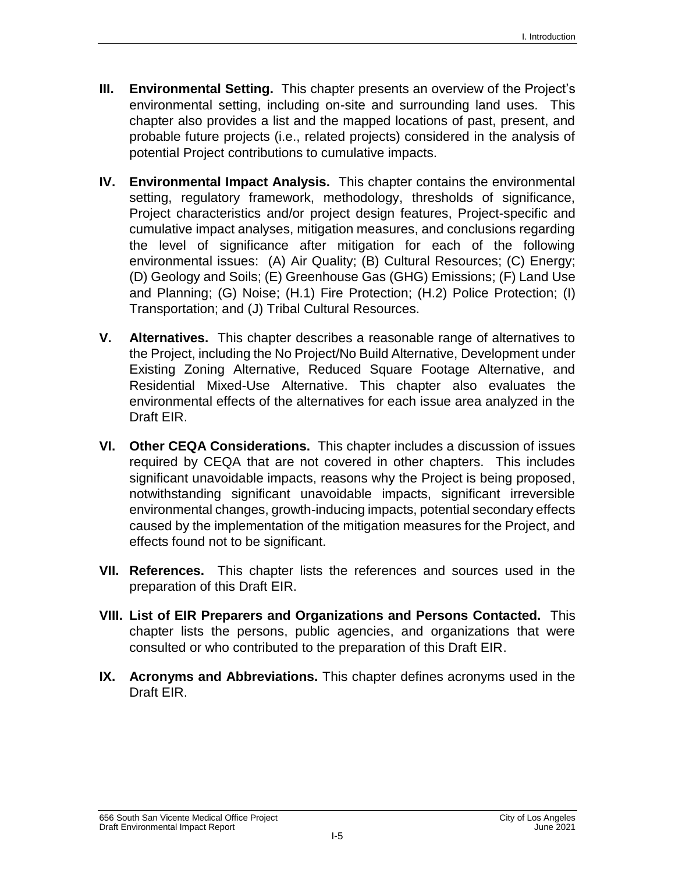- **III. Environmental Setting.** This chapter presents an overview of the Project's environmental setting, including on-site and surrounding land uses. This chapter also provides a list and the mapped locations of past, present, and probable future projects (i.e., related projects) considered in the analysis of potential Project contributions to cumulative impacts.
- **IV. Environmental Impact Analysis.** This chapter contains the environmental setting, regulatory framework, methodology, thresholds of significance, Project characteristics and/or project design features, Project-specific and cumulative impact analyses, mitigation measures, and conclusions regarding the level of significance after mitigation for each of the following environmental issues: (A) Air Quality; (B) Cultural Resources; (C) Energy; (D) Geology and Soils; (E) Greenhouse Gas (GHG) Emissions; (F) Land Use and Planning; (G) Noise; (H.1) Fire Protection; (H.2) Police Protection; (I) Transportation; and (J) Tribal Cultural Resources.
- **V. Alternatives.** This chapter describes a reasonable range of alternatives to the Project, including the No Project/No Build Alternative, Development under Existing Zoning Alternative, Reduced Square Footage Alternative, and Residential Mixed-Use Alternative. This chapter also evaluates the environmental effects of the alternatives for each issue area analyzed in the Draft EIR.
- **VI. Other CEQA Considerations.** This chapter includes a discussion of issues required by CEQA that are not covered in other chapters. This includes significant unavoidable impacts, reasons why the Project is being proposed, notwithstanding significant unavoidable impacts, significant irreversible environmental changes, growth-inducing impacts, potential secondary effects caused by the implementation of the mitigation measures for the Project, and effects found not to be significant.
- **VII. References.** This chapter lists the references and sources used in the preparation of this Draft EIR.
- **VIII. List of EIR Preparers and Organizations and Persons Contacted.** This chapter lists the persons, public agencies, and organizations that were consulted or who contributed to the preparation of this Draft EIR.
- **IX. Acronyms and Abbreviations.** This chapter defines acronyms used in the Draft EIR.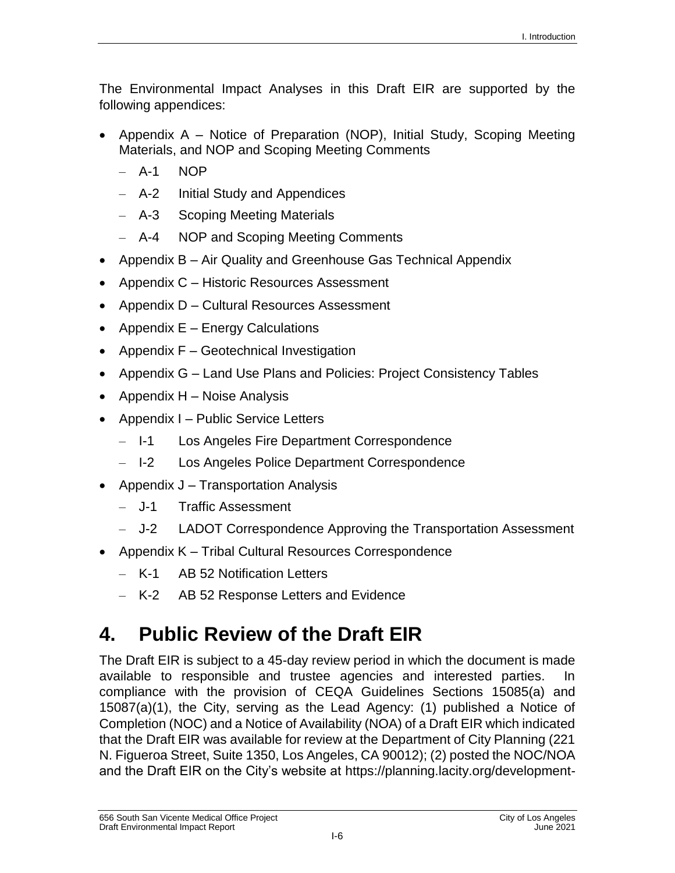The Environmental Impact Analyses in this Draft EIR are supported by the following appendices:

- Appendix A Notice of Preparation (NOP), Initial Study, Scoping Meeting Materials, and NOP and Scoping Meeting Comments
	- $-$  A-1 NOP
	- A-2 Initial Study and Appendices
	- A-3 Scoping Meeting Materials
	- A-4 NOP and Scoping Meeting Comments
- Appendix B Air Quality and Greenhouse Gas Technical Appendix
- Appendix C Historic Resources Assessment
- Appendix D Cultural Resources Assessment
- Appendix  $E -$  Energy Calculations
- Appendix  $F -$  Geotechnical Investigation
- Appendix G Land Use Plans and Policies: Project Consistency Tables
- Appendix  $H -$  Noise Analysis
- Appendix I Public Service Letters
	- I-1 Los Angeles Fire Department Correspondence
	- I-2 Los Angeles Police Department Correspondence
- Appendix  $J T$ ransportation Analysis
	- J-1 Traffic Assessment
	- J-2 LADOT Correspondence Approving the Transportation Assessment
- Appendix K Tribal Cultural Resources Correspondence
	- K-1 AB 52 Notification Letters
	- K-2 AB 52 Response Letters and Evidence

## **4. Public Review of the Draft EIR**

The Draft EIR is subject to a 45-day review period in which the document is made available to responsible and trustee agencies and interested parties. In compliance with the provision of CEQA Guidelines Sections 15085(a) and 15087(a)(1), the City, serving as the Lead Agency: (1) published a Notice of Completion (NOC) and a Notice of Availability (NOA) of a Draft EIR which indicated that the Draft EIR was available for review at the Department of City Planning (221 N. Figueroa Street, Suite 1350, Los Angeles, CA 90012); (2) posted the NOC/NOA and the Draft EIR on the City's website at [https://planning.lacity.org/development-](https://planning.lacity.org/development-services/eir)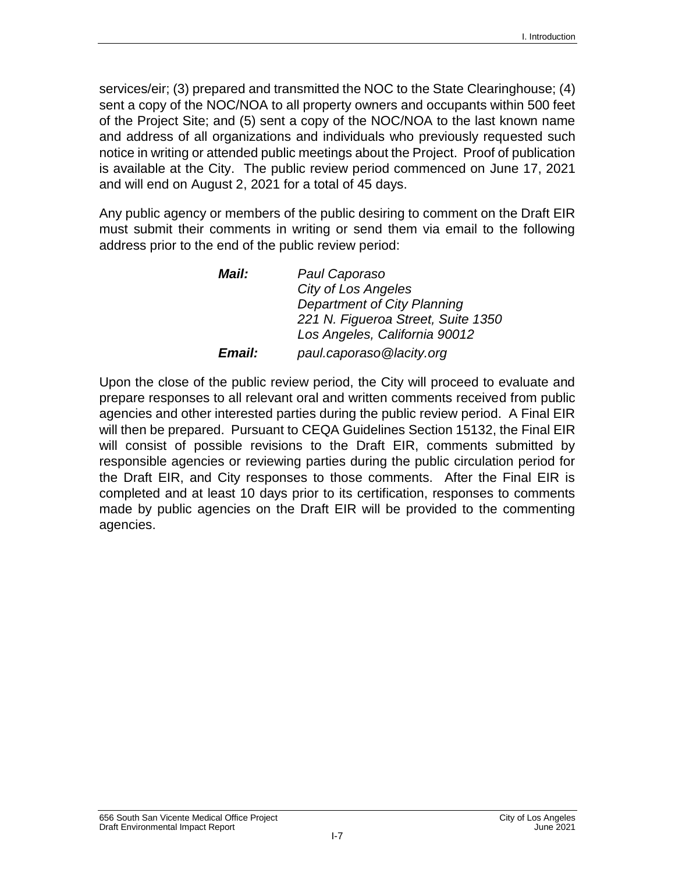[services/eir;](https://planning.lacity.org/development-services/eir) (3) prepared and transmitted the NOC to the State Clearinghouse; (4) sent a copy of the NOC/NOA to all property owners and occupants within 500 feet of the Project Site; and (5) sent a copy of the NOC/NOA to the last known name and address of all organizations and individuals who previously requested such notice in writing or attended public meetings about the Project. Proof of publication is available at the City. The public review period commenced on June 17, 2021 and will end on August 2, 2021 for a total of 45 days.

Any public agency or members of the public desiring to comment on the Draft EIR must submit their comments in writing or send them via email to the following address prior to the end of the public review period:

| Mail:                | Paul Caporaso                      |
|----------------------|------------------------------------|
|                      | <b>City of Los Angeles</b>         |
|                      | <b>Department of City Planning</b> |
|                      | 221 N. Figueroa Street, Suite 1350 |
|                      | Los Angeles, California 90012      |
| <i><b>Email:</b></i> | paul.caporaso@lacity.org           |

Upon the close of the public review period, the City will proceed to evaluate and prepare responses to all relevant oral and written comments received from public agencies and other interested parties during the public review period. A Final EIR will then be prepared. Pursuant to CEQA Guidelines Section 15132, the Final EIR will consist of possible revisions to the Draft EIR, comments submitted by responsible agencies or reviewing parties during the public circulation period for the Draft EIR, and City responses to those comments. After the Final EIR is completed and at least 10 days prior to its certification, responses to comments made by public agencies on the Draft EIR will be provided to the commenting agencies.